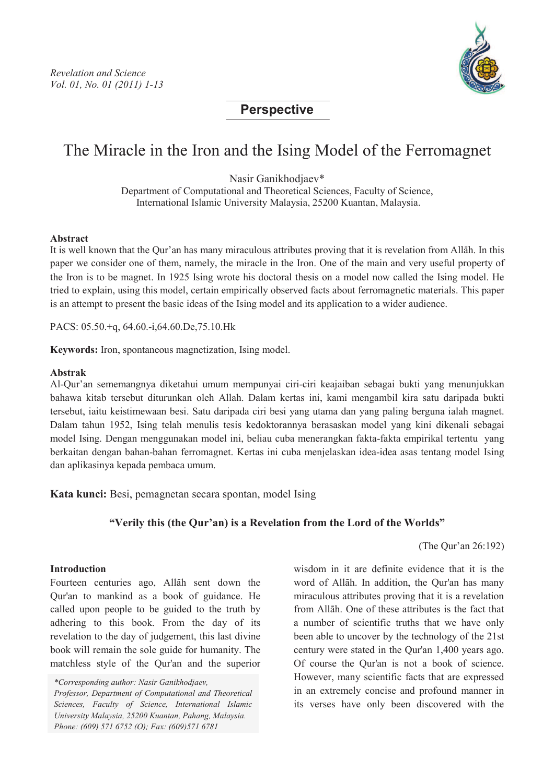

**Perspective**

# The Miracle in the Iron and the Ising Model of the Ferromagnet

Nasir Ganikhodjaev\* Department of Computational and Theoretical Sciences, Faculty of Science,

International Islamic University Malaysia, 25200 Kuantan, Malaysia.

#### **Abstract**

It is well known that the Our'an has many miraculous attributes proving that it is revelation from Allāh. In this paper we consider one of them, namely, the miracle in the Iron. One of the main and very useful property of the Iron is to be magnet. In 1925 Ising wrote his doctoral thesis on a model now called the Ising model. He tried to explain, using this model, certain empirically observed facts about ferromagnetic materials. This paper is an attempt to present the basic ideas of the Ising model and its application to a wider audience.

PACS: 05.50.+q, 64.60.-i,64.60.De,75.10.Hk

**Keywords:** Iron, spontaneous magnetization, Ising model.

#### **Abstrak**

Al-Qur'an sememangnya diketahui umum mempunyai ciri-ciri keajaiban sebagai bukti yang menunjukkan bahawa kitab tersebut diturunkan oleh Allah. Dalam kertas ini, kami mengambil kira satu daripada bukti tersebut, iaitu keistimewaan besi. Satu daripada ciri besi yang utama dan yang paling berguna ialah magnet. Dalam tahun 1952, Ising telah menulis tesis kedoktorannya berasaskan model yang kini dikenali sebagai model Ising. Dengan menggunakan model ini, beliau cuba menerangkan fakta-fakta empirikal tertentu yang berkaitan dengan bahan-bahan ferromagnet. Kertas ini cuba menjelaskan idea-idea asas tentang model Ising dan aplikasinya kepada pembaca umum.

**Kata kunci:** Besi, pemagnetan secara spontan, model Ising

### **"Verily this (the Qur'an) is a Revelation from the Lord of the Worlds"**

(The Qur'an 26:192)

### **Introduction**

Fourteen centuries ago, Allah sent down the Qur'an to mankind as a book of guidance. He called upon people to be guided to the truth by adhering to this book. From the day of its revelation to the day of judgement, this last divine book will remain the sole guide for humanity. The matchless style of the Qur'an and the superior

*\*Corresponding author: Nasir Ganikhodjaev, Professor, Department of Computational and Theoretical Sciences, Faculty of Science, International Islamic University Malaysia, 25200 Kuantan, Pahang, Malaysia. Phone: (609) 571 6752 (O); Fax: (609)571 6781*

wisdom in it are definite evidence that it is the word of Allah. In addition, the Qur'an has many miraculous attributes proving that it is a revelation from Allah. One of these attributes is the fact that a number of scientific truths that we have only been able to uncover by the technology of the 21st century were stated in the Qur'an 1,400 years ago. Of course the Qur'an is not a book of science. However, many scientific facts that are expressed in an extremely concise and profound manner in its verses have only been discovered with the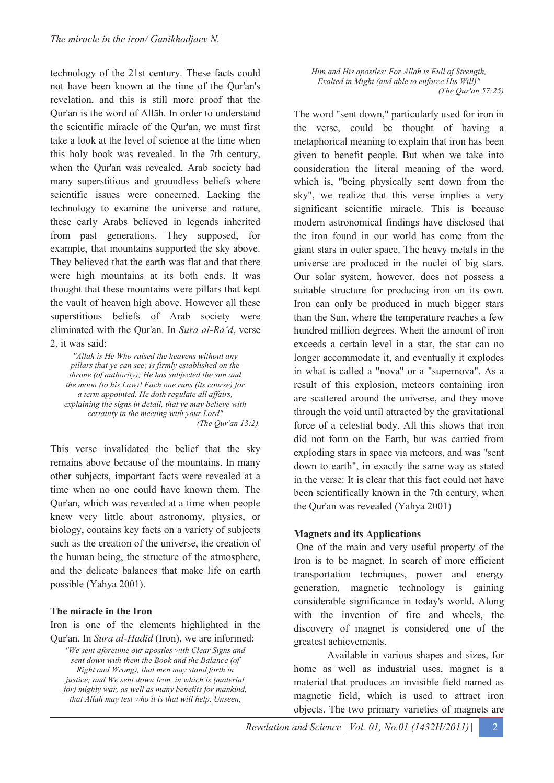technology of the 21st century. These facts could not have been known at the time of the Qur'an's revelation, and this is still more proof that the Qur'an is the word of Allāh. In order to understand the scientific miracle of the Qur'an, we must first take a look at the level of science at the time when this holy book was revealed. In the 7th century, when the Qur'an was revealed, Arab society had many superstitious and groundless beliefs where scientific issues were concerned. Lacking the technology to examine the universe and nature, these early Arabs believed in legends inherited from past generations. They supposed, for example, that mountains supported the sky above. They believed that the earth was flat and that there were high mountains at its both ends. It was thought that these mountains were pillars that kept the vault of heaven high above. However all these superstitious beliefs of Arab society were eliminated with the Qur'an. In *Sura al-Ra'd*, verse 2, it was said:

*"Allah is He Who raised the heavens without any pillars that ye can see; is firmly established on the throne (of authority); He has subjected the sun and the moon (to his Law)! Each one runs (its course) for a term appointed. He doth regulate all affairs, explaining the signs in detail, that ye may believe with certainty in the meeting with your Lord" (The Qur'an 13:2).* 

This verse invalidated the belief that the sky remains above because of the mountains. In many other subjects, important facts were revealed at a time when no one could have known them. The Qur'an, which was revealed at a time when people knew very little about astronomy, physics, or biology, contains key facts on a variety of subjects such as the creation of the universe, the creation of the human being, the structure of the atmosphere, and the delicate balances that make life on earth possible (Yahya 2001).

# **The miracle in the Iron**

Iron is one of the elements highlighted in the Qur'an. In *Sura al-Hadid* (Iron), we are informed:

*"We sent aforetime our apostles with Clear Signs and sent down with them the Book and the Balance (of Right and Wrong), that men may stand forth in justice; and We sent down Iron, in which is (material for) mighty war, as well as many benefits for mankind, that Allah may test who it is that will help, Unseen,*

*Him and His apostles: For Allah is Full of Strength, Exalted in Might (and able to enforce His Will)" (The Qur'an 57:25)* 

The word "sent down," particularly used for iron in the verse, could be thought of having a metaphorical meaning to explain that iron has been given to benefit people. But when we take into consideration the literal meaning of the word, which is, "being physically sent down from the sky", we realize that this verse implies a very significant scientific miracle. This is because modern astronomical findings have disclosed that the iron found in our world has come from the giant stars in outer space. The heavy metals in the universe are produced in the nuclei of big stars. Our solar system, however, does not possess a suitable structure for producing iron on its own. Iron can only be produced in much bigger stars than the Sun, where the temperature reaches a few hundred million degrees. When the amount of iron exceeds a certain level in a star, the star can no longer accommodate it, and eventually it explodes in what is called a "nova" or a "supernova". As a result of this explosion, meteors containing iron are scattered around the universe, and they move through the void until attracted by the gravitational force of a celestial body. All this shows that iron did not form on the Earth, but was carried from exploding stars in space via meteors, and was "sent down to earth", in exactly the same way as stated in the verse: It is clear that this fact could not have been scientifically known in the 7th century, when the Qur'an was revealed (Yahya 2001)

# **Magnets and its Applications**

 One of the main and very useful property of the Iron is to be magnet. In search of more efficient transportation techniques, power and energy generation, magnetic technology is gaining considerable significance in today's world. Along with the invention of fire and wheels, the discovery of magnet is considered one of the greatest achievements.

Available in various shapes and sizes, for home as well as industrial uses, magnet is a material that produces an invisible field named as magnetic field, which is used to attract iron objects. The two primary varieties of magnets are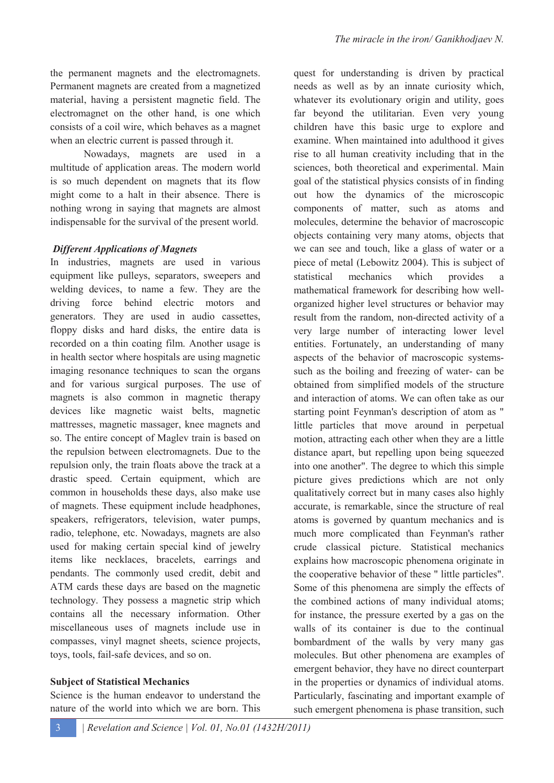the permanent magnets and the electromagnets. Permanent magnets are created from a magnetized material, having a persistent magnetic field. The electromagnet on the other hand, is one which consists of a coil wire, which behaves as a magnet when an electric current is passed through it.

Nowadays, magnets are used in a multitude of application areas. The modern world is so much dependent on magnets that its flow might come to a halt in their absence. There is nothing wrong in saying that magnets are almost indispensable for the survival of the present world.

# *Different Applications of Magnets*

In industries, magnets are used in various equipment like pulleys, separators, sweepers and welding devices, to name a few. They are the driving force behind electric motors and generators. They are used in audio cassettes, floppy disks and hard disks, the entire data is recorded on a thin coating film. Another usage is in health sector where hospitals are using magnetic imaging resonance techniques to scan the organs and for various surgical purposes. The use of magnets is also common in magnetic therapy devices like magnetic waist belts, magnetic mattresses, magnetic massager, knee magnets and so. The entire concept of Maglev train is based on the repulsion between electromagnets. Due to the repulsion only, the train floats above the track at a drastic speed. Certain equipment, which are common in households these days, also make use of magnets. These equipment include headphones, speakers, refrigerators, television, water pumps, radio, telephone, etc. Nowadays, magnets are also used for making certain special kind of jewelry items like necklaces, bracelets, earrings and pendants. The commonly used credit, debit and ATM cards these days are based on the magnetic technology. They possess a magnetic strip which contains all the necessary information. Other miscellaneous uses of magnets include use in compasses, vinyl magnet sheets, science projects, toys, tools, fail-safe devices, and so on.

# **Subject of Statistical Mechanics**

Science is the human endeavor to understand the nature of the world into which we are born. This quest for understanding is driven by practical needs as well as by an innate curiosity which, whatever its evolutionary origin and utility, goes far beyond the utilitarian. Even very young children have this basic urge to explore and examine. When maintained into adulthood it gives rise to all human creativity including that in the sciences, both theoretical and experimental. Main goal of the statistical physics consists of in finding out how the dynamics of the microscopic components of matter, such as atoms and molecules, determine the behavior of macroscopic objects containing very many atoms, objects that we can see and touch, like a glass of water or a piece of metal (Lebowitz 2004). This is subject of statistical mechanics which provides a mathematical framework for describing how wellorganized higher level structures or behavior may result from the random, non-directed activity of a very large number of interacting lower level entities. Fortunately, an understanding of many aspects of the behavior of macroscopic systemssuch as the boiling and freezing of water- can be obtained from simplified models of the structure and interaction of atoms. We can often take as our starting point Feynman's description of atom as " little particles that move around in perpetual motion, attracting each other when they are a little distance apart, but repelling upon being squeezed into one another". The degree to which this simple picture gives predictions which are not only qualitatively correct but in many cases also highly accurate, is remarkable, since the structure of real atoms is governed by quantum mechanics and is much more complicated than Feynman's rather crude classical picture. Statistical mechanics explains how macroscopic phenomena originate in the cooperative behavior of these " little particles". Some of this phenomena are simply the effects of the combined actions of many individual atoms; for instance, the pressure exerted by a gas on the walls of its container is due to the continual bombardment of the walls by very many gas molecules. But other phenomena are examples of emergent behavior, they have no direct counterpart in the properties or dynamics of individual atoms. Particularly, fascinating and important example of such emergent phenomena is phase transition, such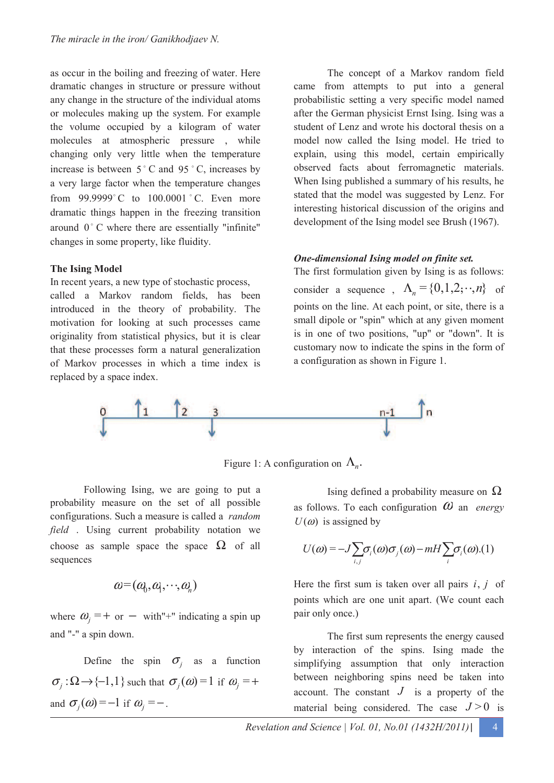as occur in the boiling and freezing of water. Here dramatic changes in structure or pressure without any change in the structure of the individual atoms or molecules making up the system. For example the volume occupied by a kilogram of water molecules at atmospheric pressure , while changing only very little when the temperature increase is between  $5^{\circ}$ C and  $95^{\circ}$ C, increases by a very large factor when the temperature changes from 99.9999°C to 100.0001 °C. Even more dramatic things happen in the freezing transition around 0°C where there are essentially "infinite" changes in some property, like fluidity.

### **The Ising Model**

In recent years, a new type of stochastic process,

called a Markov random fields, has been introduced in the theory of probability. The motivation for looking at such processes came originality from statistical physics, but it is clear that these processes form a natural generalization of Markov processes in which a time index is replaced by a space index.

The concept of a Markov random field came from attempts to put into a general probabilistic setting a very specific model named after the German physicist Ernst Ising. Ising was a student of Lenz and wrote his doctoral thesis on a model now called the Ising model. He tried to explain, using this model, certain empirically observed facts about ferromagnetic materials. When Ising published a summary of his results, he stated that the model was suggested by Lenz. For interesting historical discussion of the origins and development of the Ising model see Brush (1967).

### *One-dimensional Ising model on finite set.*

The first formulation given by Ising is as follows: consider a sequence ,  $\Lambda_n = \{0, 1, 2, \dots, n\}$  of points on the line. At each point, or site, there is a small dipole or "spin" which at any given moment is in one of two positions, "up" or "down". It is customary now to indicate the spins in the form of a configuration as shown in Figure 1.



Figure 1: A configuration on  $\Lambda_n$ .

Following Ising, we are going to put a probability measure on the set of all possible configurations. Such a measure is called a *random field* . Using current probability notation we choose as sample space the space  $\Omega$  of all sequences

$$
\omega=(\omega_0,\omega_1,\cdot\cdot\cdot,\omega_n)
$$

where  $\omega_i$ <sup>=+</sup> or − with"+" indicating a spin up and "-" a spin down.

Define the spin  $\sigma_j$  as a function  $\sigma_j : \Omega \rightarrow \{-1, 1\}$  such that  $\sigma_j(\omega) = 1$  if  $\omega_j = +$ and  $\sigma_j(\omega) = -1$  if  $\omega_j = -$ .

Ising defined a probability measure on  $\Omega$ as follows. To each configuration  $\omega$  an *energy*  $U(\omega)$  is assigned by

$$
U(\omega) = -J\sum_{i,j}\sigma_i(\omega)\sigma_j(\omega) - mH\sum_i\sigma_i(\omega). (1)
$$

Here the first sum is taken over all pairs  $i$ ,  $j$  of points which are one unit apart. (We count each pair only once.)

The first sum represents the energy caused by interaction of the spins. Ising made the simplifying assumption that only interaction between neighboring spins need be taken into account. The constant  $J$  is a property of the material being considered. The case  $J > 0$  is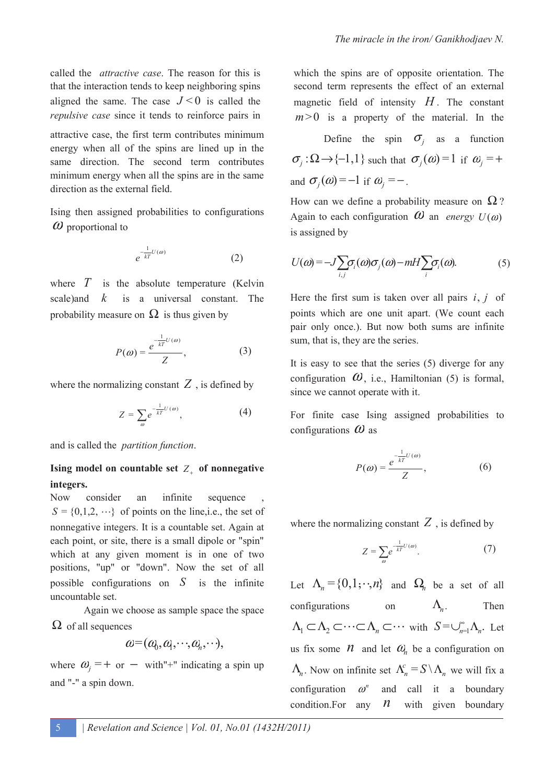called the *attractive case*. The reason for this is that the interaction tends to keep neighboring spins aligned the same. The case  $J < 0$  is called the *repulsive case* since it tends to reinforce pairs in

attractive case, the first term contributes minimum energy when all of the spins are lined up in the same direction. The second term contributes minimum energy when all the spins are in the same direction as the external field.

Ising then assigned probabilities to configurations  $\omega$  proportional to

$$
e^{-\frac{1}{kT}U(\omega)}\tag{2}
$$

where  $T$  is the absolute temperature (Kelvin scale)and *k* is a universal constant. The probability measure on  $\Omega$  is thus given by

$$
P(\omega) = \frac{e^{-\frac{1}{kT}U(\omega)}}{Z},\tag{3}
$$

where the normalizing constant  $Z$ , is defined by

$$
Z = \sum_{\omega} e^{-\frac{1}{kT}U(\omega)},\tag{4}
$$

and is called the *partition function*.

# **Ising model on countable set**  $Z_+$  **of nonnegative integers.**

Now consider an infinite sequence  $S = \{0, 1, 2, \cdots\}$  of points on the line, i.e., the set of nonnegative integers. It is a countable set. Again at each point, or site, there is a small dipole or "spin" which at any given moment is in one of two positions, "up" or "down". Now the set of all possible configurations on *S* is the infinite uncountable set.

Again we choose as sample space the space  $\Omega$  of all sequences

$$
\omega=(\alpha_0,\alpha_1,\cdot\cdot\cdot,\alpha_n,\cdot\cdot\cdot),
$$

where  $\omega_i$ <sup>=+</sup> or − with"+" indicating a spin up and "-" a spin down.

which the spins are of opposite orientation. The second term represents the effect of an external magnetic field of intensity  $H$ . The constant  $m > 0$  is a property of the material. In the

Define the spin  $\sigma_j$  as a function  $\sigma_j : \Omega \rightarrow \{-1, 1\}$  such that  $\sigma_j(\omega) = 1$  if  $\omega_j = +$ and  $\sigma_j(\omega) = -1$  if  $\omega_j = -$ .

How can we define a probability measure on  $\Omega$ ? Again to each configuration  $\omega$  an *energy*  $U(\omega)$ is assigned by

$$
U(\omega) = -J\sum_{i,j}\sigma_i(\omega)\sigma_j(\omega) - mH\sum_i\sigma_i(\omega).
$$
 (5)

Here the first sum is taken over all pairs  $i, j$  of points which are one unit apart. (We count each pair only once.). But now both sums are infinite sum, that is, they are the series.

It is easy to see that the series (5) diverge for any configuration  $\omega$ , i.e., Hamiltonian (5) is formal, since we cannot operate with it.

For finite case Ising assigned probabilities to configurations  $\omega$  as

$$
P(\omega) = \frac{e^{-\frac{1}{kT}U(\omega)}}{Z},\tag{6}
$$

where the normalizing constant  $Z$ , is defined by

$$
Z = \sum_{\omega} e^{-kT^{U(\omega)}}.
$$
 (7)

Let  $\Lambda_n = \{0, 1, \cdot \cdot, n\}$  and  $\Omega_n$  be a set of all configurations on  $\Lambda_n$ . . Then  $\Lambda_1 \subset \Lambda_2 \subset \cdots \subset \Lambda_n \subset \cdots$  with  $S = \bigcup_{n=1}^{\infty} \Lambda_n$ . Let us fix some  $n$  and let  $\mathcal{Q}_n$  be a configuration on  $\Lambda_n$ . Now on infinite set  $\Lambda_n^c = S \setminus \Lambda_n$  we will fix a configuration  $\omega^n$  and call it a boundary condition.For any  $\mathcal{U}$  with given boundary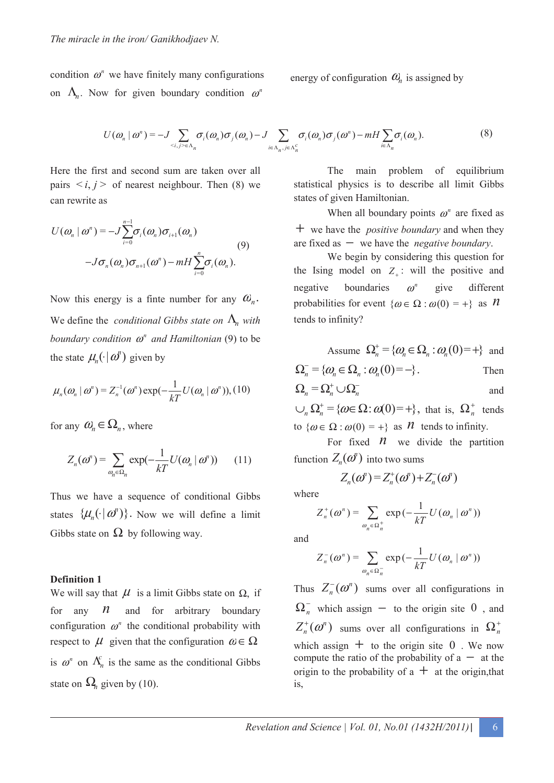condition  $\omega^n$  we have finitely many configurations on  $\Lambda_n$ . Now for given boundary condition  $\omega^n$ 

energy of configuration  $\mathcal{Q}_n$  is assigned by

$$
U(\omega_n \mid \omega^n) = -J \sum_{\langle i,j \rangle \in \Lambda_n} \sigma_i(\omega_n) \sigma_j(\omega_n) - J \sum_{i \in \Lambda_n, j \in \Lambda_n^c} \sigma_i(\omega_n) \sigma_j(\omega^n) - mH \sum_{i \in \Lambda_n} \sigma_i(\omega_n).
$$
 (8)

Here the first and second sum are taken over all pairs  *of nearest neighbour. Then (8) we* can rewrite as

$$
U(\omega_n \mid \omega^n) = -J \sum_{i=0}^{n-1} \sigma_i(\omega_n) \sigma_{i+1}(\omega_n)
$$
  

$$
-J \sigma_n(\omega_n) \sigma_{n+1}(\omega^n) - mH \sum_{i=0}^n \sigma_i(\omega_n).
$$
 (9)

Now this energy is a finte number for any  $\mathcal{Q}_n$ . We define the *conditional Gibbs state on*  $\Lambda$ <sub>*n*</sub> with *boundary condition*  $\omega^n$  *and Hamiltonian* (9) to be the state  $\mu_n(\cdot | \omega^n)$  given by

$$
\mu_n(\omega_n \mid \omega^n) = Z_n^{-1}(\omega^n) \exp(-\frac{1}{kT} U(\omega_n \mid \omega^n)), (10)
$$

for any  $\omega_n \in \Omega_n$ , where

$$
Z_n(\omega^n) = \sum_{\omega_n \in \Omega_n} \exp(-\frac{1}{kT} U(\omega_n \,|\, \omega^n)) \qquad (11)
$$

Thus we have a sequence of conditional Gibbs states  $\{\mu_n(\cdot | \omega^n)\}\)$ . Now we will define a limit Gibbs state on  $\Omega$  by following way.

#### **Definition 1**

We will say that  $\mu$  is a limit Gibbs state on  $\Omega$ , if for any  $\mathcal N$  and for arbitrary boundary configuration  $\omega^n$  the conditional probability with respect to  $\mu$  given that the configuration  $\omega \in \Omega$ is  $\omega^n$  on  $\Lambda_n^c$  is the same as the conditional Gibbs state on  $\Omega$ <sub>n</sub> given by (10).

The main problem of equilibrium statistical physics is to describe all limit Gibbs states of given Hamiltonian.

When all boundary points  $\omega^n$  are fixed as + we have the *positive boundary* and when they are fixed as − we have the *negative boundary*.

We begin by considering this question for the Ising model on  $Z_{+}$ : will the positive and negative boundaries  $\omega^n$  give different probabilities for event  $\{\omega \in \Omega : \omega(0) = +\}$  as *n* tends to infinity?

Assume  $\Omega_n^+ = {\omega_n \in \Omega_n : \omega_n(0) = +}$  and  $\Omega_n^- = {\omega_n \in \Omega_n : \omega_n(0) = -}.$ Then

$$
\Omega_n = \Omega_n^+ \cup \Omega_n^-
$$
 and

 $\cup_n \Omega_n^+ = {\omega \in \Omega : \omega(0) = + }$ , that is,  $\Omega_n^+$  tends to  $\{\omega \in \Omega : \omega(0) = +\}$  as *N* tends to infinity.

For fixed  $\hat{\boldsymbol{n}}$  we divide the partition function  $Z_n(\boldsymbol{\omega}^n)$  into two sums

$$
Z_n(\omega^n) = Z_n^+(\omega^n) + Z_n^-(\omega^n)
$$

where

$$
Z_n^+(\omega^n) = \sum_{\omega_n \in \Omega_n^+} \exp(-\frac{1}{kT}U(\omega_n \mid \omega^n))
$$

and

$$
Z_n^-(\omega^n) = \sum_{\omega_n \in \Omega_n^-} \exp(-\frac{1}{kT}U(\omega_n \mid \omega^n))
$$

Thus  $Z_n^-(\omega^n)$  sums over all configurations in  $\Omega_n^-$  which assign – to the origin site 0, and  $Z_n^{\dagger}(\omega^n)$  sums over all configurations in  $\Omega_n^+$ which assign  $+$  to the origin site  $0$ . We now compute the ratio of the probability of  $a - a$ t the origin to the probability of a  $+$  at the origin, that is,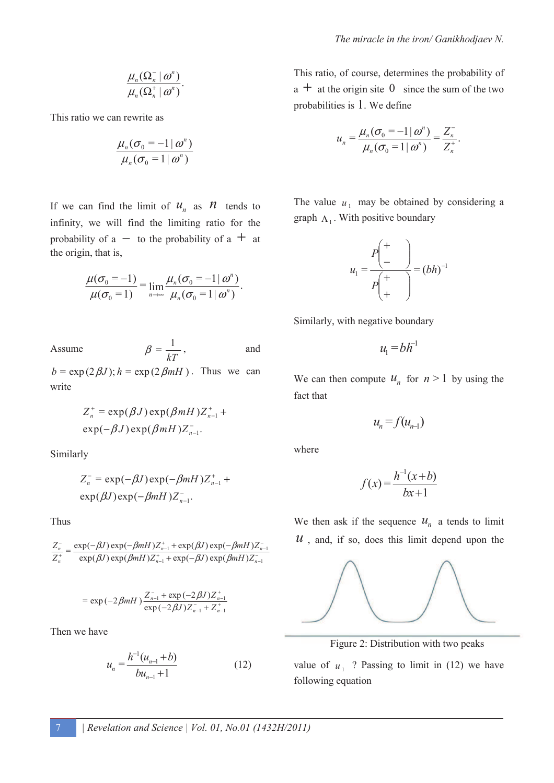$$
\frac{\mu_n(\Omega_n^-|\omega^n)}{\mu_n(\Omega_n^+|\omega^n)}.
$$

This ratio we can rewrite as

$$
\frac{\mu_n(\sigma_0 = -1 \,|\, \omega^n)}{\mu_n(\sigma_0 = 1 \,|\, \omega^n)}
$$

If we can find the limit of  $u_n$  as  $n$  tends to infinity, we will find the limiting ratio for the probability of  $a -$  to the probability of  $a + a$ the origin, that is,

$$
\frac{\mu(\sigma_0=-1)}{\mu(\sigma_0=1)}=\lim_{n\to\infty}\frac{\mu_n(\sigma_0=-1\,|\,\omega^n)}{\mu_n(\sigma_0=1\,|\,\omega^n)}.
$$

Assume

 $\beta = \frac{1}{10}$ , and

*kT*  $b = \exp(2\beta J); h = \exp(2\beta mH)$ . Thus we can write

$$
Z_n^+ = \exp(\beta J) \exp(\beta m H) Z_{n-1}^+ +
$$
  
exp(-\beta J) exp(\beta m H) Z\_{n-1}^-

Similarly

$$
Z_n^- = \exp(-\beta J) \exp(-\beta m H) Z_{n-1}^+ +
$$
  
exp( $\beta J$ ) exp( $-\beta m H$ ) Z\_{n-1}^-.

Thus

$$
\frac{Z_{n}^{-}}{Z_{n}^{+}} = \frac{\exp(-\beta J) \exp(-\beta mH) Z_{n-1}^{+} + \exp(\beta J) \exp(-\beta mH) Z_{n-1}^{-}}{\exp(\beta J) \exp(\beta mH) Z_{n-1}^{+} + \exp(-\beta J) \exp(\beta mH) Z_{n-1}^{-}}
$$

$$
= \exp(-2\beta mH) \frac{Z_{n-1}^{-} + \exp(-2\beta J)Z_{n-1}^{+}}{\exp(-2\beta J)Z_{n-1}^{-} + Z_{n-1}^{+}}
$$

Then we have

$$
u_n = \frac{h^{-1}(u_{n-1} + b)}{bu_{n-1} + 1}
$$
 (12)

This ratio, of course, determines the probability of  $a + a$  at the origin site 0 since the sum of the two probabilities is 1. We define

$$
u_n = \frac{\mu_n(\sigma_0 = -1 \,|\, \omega^n)}{\mu_n(\sigma_0 = 1 \,|\, \omega^n)} = \frac{Z_n^-}{Z_n^+}.
$$

The value  $u_1$  may be obtained by considering a graph  $\Lambda_1$ . With positive boundary

$$
u_1 = \frac{P\left(\begin{array}{c} + \\ - \\ P\end{array}\right)}{P\left(\begin{array}{c} + \\ + \end{array}\right)} = (bh)^{-1}
$$

Similarly, with negative boundary

$$
u_1 = bh^{-1}
$$

We can then compute  $u_n$  for  $n > 1$  by using the fact that

$$
u_n = f(u_{n-1})
$$

where

$$
f(x) = \frac{h^{-1}(x+b)}{bx+1}
$$

We then ask if the sequence  $u_n$  a tends to limit *, and, if so, does this limit depend upon the* 



Figure 2: Distribution with two peaks

value of  $u_1$  ? Passing to limit in (12) we have following equation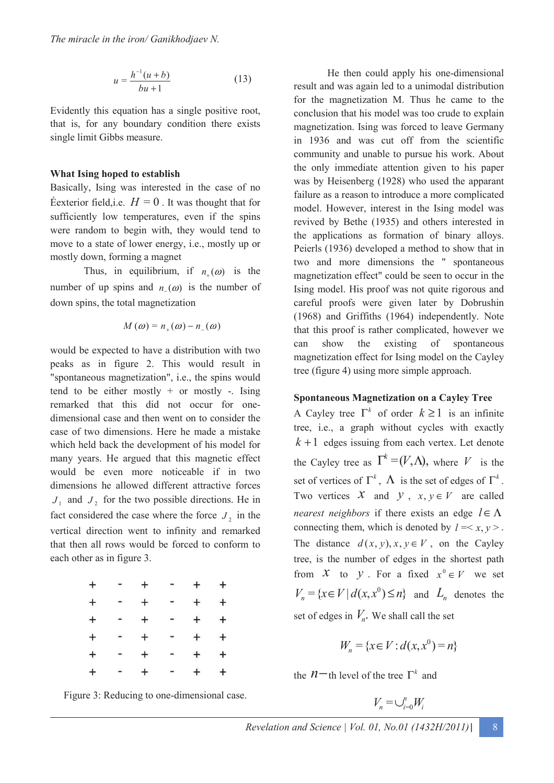$$
u = \frac{h^{-1}(u+b)}{bu+1}
$$
 (13)

Evidently this equation has a single positive root, that is, for any boundary condition there exists single limit Gibbs measure.

### **What Ising hoped to establish**

Basically, Ising was interested in the case of no Éexterior field, i.e.  $H = 0$ . It was thought that for sufficiently low temperatures, even if the spins were random to begin with, they would tend to move to a state of lower energy, i.e., mostly up or mostly down, forming a magnet

Thus, in equilibrium, if  $n_+(\omega)$  is the number of up spins and  $n_-(\omega)$  is the number of down spins, the total magnetization

$$
M(\omega) = n_{+}(\omega) - n_{-}(\omega)
$$

would be expected to have a distribution with two peaks as in figure 2. This would result in "spontaneous magnetization", i.e., the spins would tend to be either mostly  $+$  or mostly  $-$ . Ising remarked that this did not occur for onedimensional case and then went on to consider the case of two dimensions. Here he made a mistake which held back the development of his model for many years. He argued that this magnetic effect would be even more noticeable if in two dimensions he allowed different attractive forces  $J_1$  and  $J_2$  for the two possible directions. He in fact considered the case where the force  $J_2$  in the vertical direction went to infinity and remarked that then all rows would be forced to conform to each other as in figure 3.

| $+$       | $\blacksquare$           | $\ddot{}$ | ۰                        | $+$              | $\ddot{}$ |
|-----------|--------------------------|-----------|--------------------------|------------------|-----------|
| $+$       | $\blacksquare$           | $\ddot{}$ | -                        | $\boldsymbol{+}$ | $\ddot{}$ |
| $+$       | $\blacksquare$           | $\ddot{}$ | $\frac{1}{\sqrt{2}}$     | $\pm$            | $\ddot{}$ |
| $+$       | $\overline{\phantom{a}}$ | $\ddot{}$ | $\overline{\phantom{a}}$ | $\ddot{}$        | $\ddot{}$ |
| $+$       | $\overline{\phantom{a}}$ | $\ddot{}$ | -                        | $\ddot{}$        | $\ddot{}$ |
| $\ddot{}$ | $\blacksquare$           | $\ddot{}$ | -                        | $\ddot{}$        | $\ddot{}$ |

Figure 3: Reducing to one-dimensional case.

He then could apply his one-dimensional result and was again led to a unimodal distribution for the magnetization M. Thus he came to the conclusion that his model was too crude to explain magnetization. Ising was forced to leave Germany in 1936 and was cut off from the scientific community and unable to pursue his work. About the only immediate attention given to his paper was by Heisenberg (1928) who used the apparant failure as a reason to introduce a more complicated model. However, interest in the Ising model was revived by Bethe (1935) and others interested in the applications as formation of binary alloys. Peierls (1936) developed a method to show that in two and more dimensions the " spontaneous magnetization effect" could be seen to occur in the Ising model. His proof was not quite rigorous and careful proofs were given later by Dobrushin (1968) and Griffiths (1964) independently. Note that this proof is rather complicated, however we can show the existing of spontaneous magnetization effect for Ising model on the Cayley tree (figure 4) using more simple approach.

### **Spontaneous Magnetization on a Cayley Tree**

A Cayley tree  $\Gamma^k$  of order  $k \ge 1$  is an infinite tree, i.e., a graph without cycles with exactly  $k+1$  edges issuing from each vertex. Let denote the Cayley tree as  $\Gamma^k = (V, \Lambda)$ , where *V* is the set of vertices of  $\Gamma^k$ ,  $\Lambda$  is the set of edges of  $\Gamma^k$ . Two vertices *X* and *y*,  $x, y \in V$  are called *nearest neighbors* if there exists an edge  $l \in \Lambda$ connecting them, which is denoted by  $l =$ . The distance  $d(x, y), x, y \in V$ , on the Cayley tree, is the number of edges in the shortest path from *X* to *y*. For a fixed  $x^0 \in V$  we set  $V_n = \{x \in V \mid d(x, x^0) \le n\}$  and  $L_n$  denotes the set of edges in  $V_n$ . We shall call the set

$$
W_n = \{x \in V : d(x, x^0) = n\}
$$

the  $n$ −th level of the tree  $\Gamma^k$  and

 $V_n = \bigcup_{i=0}^n W_i$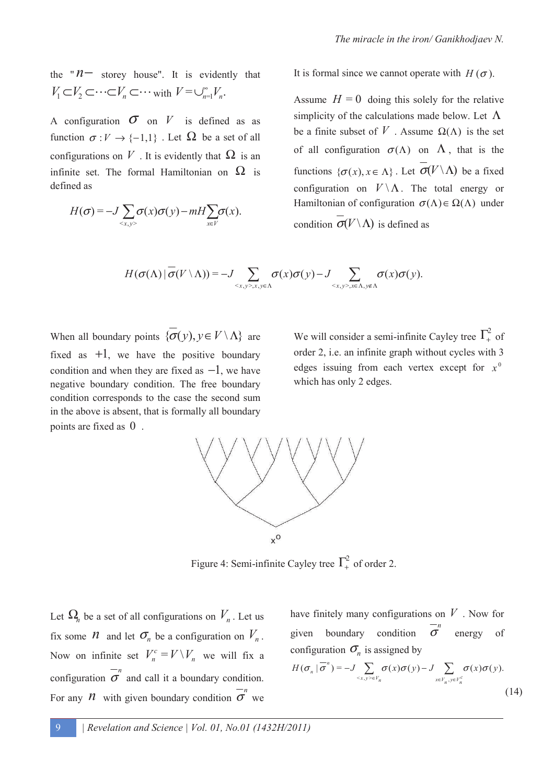the " $n-$  storey house". It is evidently that  $V_1 \subset V_2 \subset \cdots \subset V_n \subset \cdots$  with  $V = \bigcup_{n=1}^{\infty} V_n$ .

A configuration  $\sigma$  on V is defined as as function  $\sigma: V \to \{-1,1\}$ . Let  $\Omega$  be a set of all configurations on *V*. It is evidently that  $\Omega$  is an infinite set. The formal Hamiltonian on  $\Omega$  is defined as

$$
H(\sigma) = -J \sum_{\langle x, y \rangle} \sigma(x) \sigma(y) - m \sum_{x \in V} \sigma(x).
$$

It is formal since we cannot operate with  $H(\sigma)$ .

Assume  $H = 0$  doing this solely for the relative simplicity of the calculations made below. Let  $\Lambda$ be a finite subset of V. Assume  $\Omega(\Lambda)$  is the set of all configuration  $\sigma(\Lambda)$  on  $\Lambda$ , that is the functions  $\{\sigma(x), x \in \Lambda\}$ . Let  $\sigma(V \backslash \Lambda)$  be a fixed configuration on  $V \setminus \Lambda$ . The total energy or Hamiltonian of configuration  $\sigma(\Lambda) \in \Omega(\Lambda)$  under condition  $\sigma(V \setminus \Lambda)$  is defined as

$$
H(\sigma(\Lambda) | \overline{\sigma}(V \setminus \Lambda)) = -J \sum_{\langle x, y \rangle, x, y \in \Lambda} \sigma(x) \sigma(y) - J \sum_{\langle x, y \rangle, x \in \Lambda, y \notin \Lambda} \sigma(x) \sigma(y).
$$

When all boundary points  $\{\sigma(v), v \in V \setminus \Lambda\}$  are fixed as  $+1$ , we have the positive boundary condition and when they are fixed as  $-1$ , we have negative boundary condition. The free boundary condition corresponds to the case the second sum in the above is absent, that is formally all boundary points are fixed as 0 .

We will consider a semi-infinite Cayley tree  $\Gamma^2_+$  of order 2, i.e. an infinite graph without cycles with 3 edges issuing from each vertex except for  $x^0$ which has only 2 edges.



Figure 4: Semi-infinite Cayley tree  $\Gamma^2_+$  of order 2.

Let  $\Omega$ <sup>*n*</sup> be a set of all configurations on  $V$ <sup>*n*</sup>. Let us fix some *n* and let  $\sigma_n$  be a configuration on  $V_n$ . Now on infinite set  $V_n^c = V \setminus V_n$  we will fix a configuration  $\overline{\sigma}$  and call it a boundary condition. For any *N* with given boundary condition  $\sigma^n$  we have finitely many configurations on *V* . Now for given boundary condition  $\sigma$ <sup> $\sigma$ </sup> energy of configuration  $\sigma_n$  is assigned by

$$
H(\sigma_n \mid \overline{\sigma}^n) = -J \sum_{\langle x, y \rangle \in V_n} \sigma(x) \sigma(y) - J \sum_{x \in V_n, y \in V_n^c} \sigma(x) \sigma(y).
$$
\n(14)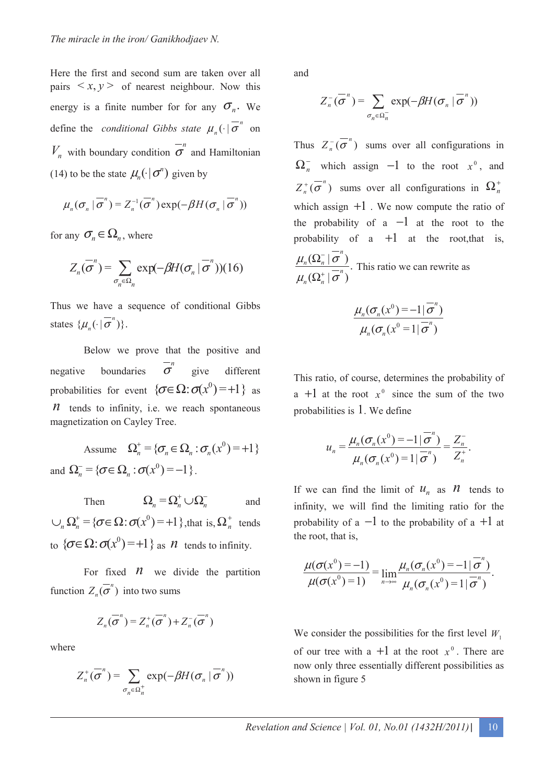Here the first and second sum are taken over all pairs  $\langle x, y \rangle$  of nearest neighbour. Now this energy is a finite number for for any  $\sigma_n$ . We define the *conditional Gibbs state*  $\mu_n(\cdot|\vec{\sigma}^n)$  on  $V_n$  with boundary condition  $\overline{\sigma}^n$  and Hamiltonian (14) to be the state  $\mu_n(\cdot | \sigma^n)$  given by

$$
\mu_n(\sigma_n \mid \overline{\sigma}^n) = Z_n^{-1}(\overline{\sigma}^n) \exp(-\beta H(\sigma_n \mid \overline{\sigma}^n))
$$

for any  $\sigma_n \in \Omega_n$ , where

$$
Z_n(\overline{\sigma}^n) = \sum_{\sigma_n \in \Omega_n} \exp(-\beta H(\sigma_n | \overline{\sigma}^n)) (16)
$$

Thus we have a sequence of conditional Gibbs states  $\{\mu_n(\cdot \,|\, \overline{\sigma}^n)\}.$ 

Below we prove that the positive and negative boundaries  $\overline{\sigma}^n$ give different probabilities for event  $\{\sigma \in \Omega : \sigma(x^0) = +1\}$  as  *tends to infinity, i.e. we reach spontaneous* magnetization on Cayley Tree.

Assume  $\Omega_n^+ = {\{\sigma_n \in \Omega_n : \sigma_n(x^0) = +1\}}$ and  $\Omega_n^- = {\sigma \in \Omega_n : \sigma(x^0) = -1}.$ 

Then  $\Omega_n = \Omega_n^+ \cup \Omega_n^-$  and  $\cup_n \Omega_n^+ = {\sigma \in \Omega : \sigma(x^0) = +1}$ , that is,  $\Omega_n^+$  tends to  $\{\sigma \in \Omega : \sigma(x^0) = +1\}$  as *n* tends to infinity.

For fixed  $\hat{\boldsymbol{n}}$  we divide the partition function  $Z_n(\overline{\sigma}^n)$  into two sums

$$
Z_n(\overline{\sigma}^n) = Z_n^+(\overline{\sigma}^n) + Z_n^-(\overline{\sigma}^n)
$$

where

$$
Z_n^{\dagger}(\overline{\sigma}^n) = \sum_{\sigma_n \in \Omega_n^+} \exp(-\beta H(\sigma_n \mid \overline{\sigma}^n))
$$

and

$$
Z_n^-(\overline{\sigma}^n) = \sum_{\sigma_n \in \Omega_n^-} \exp(-\beta H(\sigma_n \mid \overline{\sigma}^n))
$$

Thus  $Z_n^-(\overline{\sigma}^n)$  sums over all configurations in  $\Omega_n^-$  which assign  $-1$  to the root  $x^0$ , and  $Z_n^{\dagger}(\overline{\sigma}^n)$  sums over all configurations in  $\Omega_n^+$ which assign  $+1$ . We now compute the ratio of the probability of a  $-1$  at the root to the probability of a  $+1$  at the root, that is, .  $(\Omega^+_n | \sigma^{\degree})$  $(\Omega^-_n | \sigma^{\degree})$ *n n n n*  $n \in \mathbb{R}$  $\mu_{_n}$ (s $2_{_n}$  |  $\sigma$  $\mu_{_n}$ (s2 $_n$  |  $\sigma$ + −  $\Omega$  $\Omega$  This ratio we can rewrite as  $\boldsymbol{0}$ *n*

$$
\frac{\mu_n(\sigma_n(x^0) = -1 \mid \sigma)}{\mu_n(\sigma_n(x^0 = 1 \mid \overline{\sigma}^n))}
$$

This ratio, of course, determines the probability of a  $+1$  at the root  $x^0$  since the sum of the two probabilities is 1. We define

$$
u_n = \frac{\mu_n(\sigma_n(x^0)) = -1|\overline{\sigma}^n)}{\mu_n(\sigma_n(x^0)) = 1|\overline{\sigma}^n)} = \frac{Z_n^-}{Z_n^+}.
$$

If we can find the limit of  $u_n$  as  $n$  tends to infinity, we will find the limiting ratio for the probability of a  $-1$  to the probability of a  $+1$  at the root, that is,

$$
\frac{\mu(\sigma(x^0)=-1)}{\mu(\sigma(x^0)=1)}=\lim_{n\to\infty}\frac{\mu_n(\sigma_n(x^0)=-1|\overline{\sigma}^n)}{\mu_n(\sigma_n(x^0)=1|\overline{\sigma}^n)}.
$$

We consider the possibilities for the first level  $W_1$ of our tree with a  $+1$  at the root  $x^0$ . There are now only three essentially different possibilities as shown in figure 5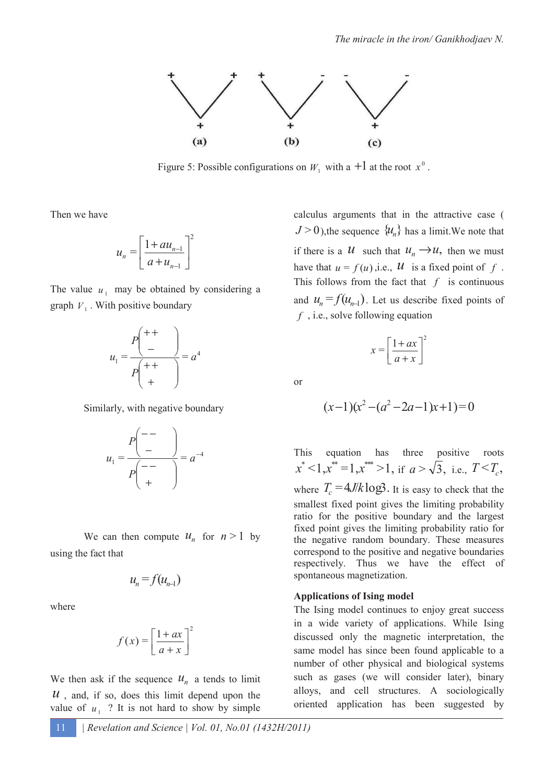

Figure 5: Possible configurations on  $W_1$  with a +1 at the root  $x^0$ .

Then we have

$$
u_n = \left[\frac{1 + au_{n-1}}{a + u_{n-1}}\right]^2
$$

The value  $u_1$  may be obtained by considering a graph  $V_1$ . With positive boundary



Similarly, with negative boundary



We can then compute  $u_n$  for  $n > 1$  by using the fact that

$$
u_n = f(u_{n-1})
$$

where

$$
f(x) = \left[\frac{1+ax}{a+x}\right]^2
$$

We then ask if the sequence  $u_n$  a tends to limit *, and, if so, does this limit depend upon the* value of  $u_1$  ? It is not hard to show by simple calculus arguments that in the attractive case (  $J > 0$ ), the sequence  $\{u_n\}$  has a limit. We note that if there is a  $\mathcal{U}$  such that  $\mathcal{U}_n \longrightarrow \mathcal{U}$ , then we must have that  $u = f(u)$ , i.e.,  $\mathcal{U}$  is a fixed point of f. This follows from the fact that  $f$  is continuous and  $u_n = f(u_{n-1})$ . Let us describe fixed points of *f* , i.e., solve following equation

$$
x = \left[\frac{1+ax}{a+x}\right]^2
$$

or

$$
(x-1)(x^2 - (a^2 - 2a - 1)x + 1) = 0
$$

This equation has three positive roots  $x^* < 1, x^{**} = 1, x^{***} > 1$ , if  $a > \sqrt{3}$ , i.e.,  $T < T_c$ , where  $T_c = 4J/k \log 3$ . It is easy to check that the smallest fixed point gives the limiting probability ratio for the positive boundary and the largest fixed point gives the limiting probability ratio for the negative random boundary. These measures correspond to the positive and negative boundaries respectively. Thus we have the effect of spontaneous magnetization.

#### **Applications of Ising model**

The Ising model continues to enjoy great success in a wide variety of applications. While Ising discussed only the magnetic interpretation, the same model has since been found applicable to a number of other physical and biological systems such as gases (we will consider later), binary alloys, and cell structures. A sociologically oriented application has been suggested by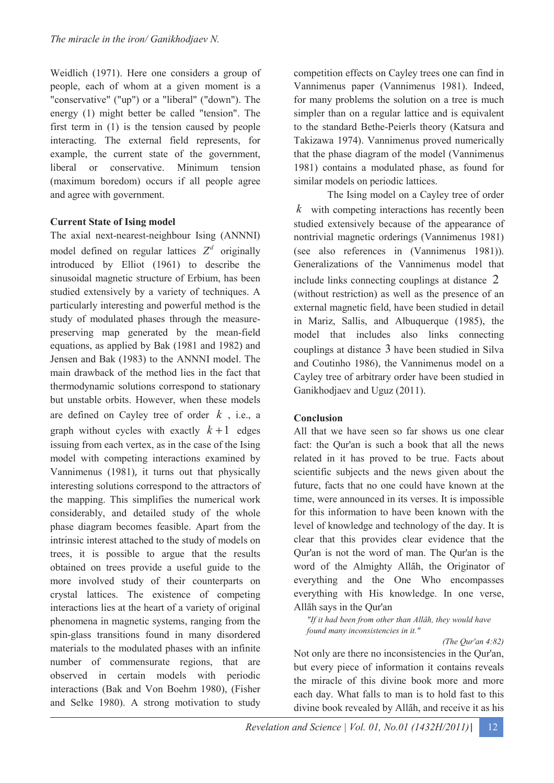Weidlich (1971). Here one considers a group of people, each of whom at a given moment is a "conservative" ("up") or a "liberal" ("down"). The energy (1) might better be called "tension". The first term in (1) is the tension caused by people interacting. The external field represents, for example, the current state of the government, liberal or conservative. Minimum tension (maximum boredom) occurs if all people agree and agree with government.

# **Current State of Ising model**

The axial next-nearest-neighbour Ising (ANNNI) model defined on regular lattices  $Z^d$  originally introduced by Elliot (1961) to describe the sinusoidal magnetic structure of Erbium, has been studied extensively by a variety of techniques. A particularly interesting and powerful method is the study of modulated phases through the measurepreserving map generated by the mean-field equations, as applied by Bak (1981 and 1982) and Jensen and Bak (1983) to the ANNNI model. The main drawback of the method lies in the fact that thermodynamic solutions correspond to stationary but unstable orbits. However, when these models are defined on Cayley tree of order *k* , i.e., a graph without cycles with exactly  $k+1$  edges issuing from each vertex, as in the case of the Ising model with competing interactions examined by Vannimenus (1981), it turns out that physically interesting solutions correspond to the attractors of the mapping. This simplifies the numerical work considerably, and detailed study of the whole phase diagram becomes feasible. Apart from the intrinsic interest attached to the study of models on trees, it is possible to argue that the results obtained on trees provide a useful guide to the more involved study of their counterparts on crystal lattices. The existence of competing interactions lies at the heart of a variety of original phenomena in magnetic systems, ranging from the spin-glass transitions found in many disordered materials to the modulated phases with an infinite number of commensurate regions, that are observed in certain models with periodic interactions (Bak and Von Boehm 1980), (Fisher and Selke 1980). A strong motivation to study

competition effects on Cayley trees one can find in Vannimenus paper (Vannimenus 1981). Indeed, for many problems the solution on a tree is much simpler than on a regular lattice and is equivalent to the standard Bethe-Peierls theory (Katsura and Takizawa 1974). Vannimenus proved numerically that the phase diagram of the model (Vannimenus 1981) contains a modulated phase, as found for similar models on periodic lattices.

The Ising model on a Cayley tree of order *k* with competing interactions has recently been studied extensively because of the appearance of nontrivial magnetic orderings (Vannimenus 1981) (see also references in (Vannimenus 1981)). Generalizations of the Vannimenus model that include links connecting couplings at distance 2 (without restriction) as well as the presence of an external magnetic field, have been studied in detail in Mariz, Sallis, and Albuquerque (1985), the model that includes also links connecting couplings at distance 3 have been studied in Silva and Coutinho 1986), the Vannimenus model on a Cayley tree of arbitrary order have been studied in Ganikhodjaev and Uguz (2011).

# **Conclusion**

All that we have seen so far shows us one clear fact: the Qur'an is such a book that all the news related in it has proved to be true. Facts about scientific subjects and the news given about the future, facts that no one could have known at the time, were announced in its verses. It is impossible for this information to have been known with the level of knowledge and technology of the day. It is clear that this provides clear evidence that the Qur'an is not the word of man. The Qur'an is the word of the Almighty Allah, the Originator of everything and the One Who encompasses everything with His knowledge. In one verse, Allāh says in the Our'an

*"If it had been from other than Allh, they would have found many inconsistencies in it."* 

*(The Qur'an 4:82)* 

Not only are there no inconsistencies in the Qur'an, but every piece of information it contains reveals the miracle of this divine book more and more each day. What falls to man is to hold fast to this divine book revealed by Allāh, and receive it as his